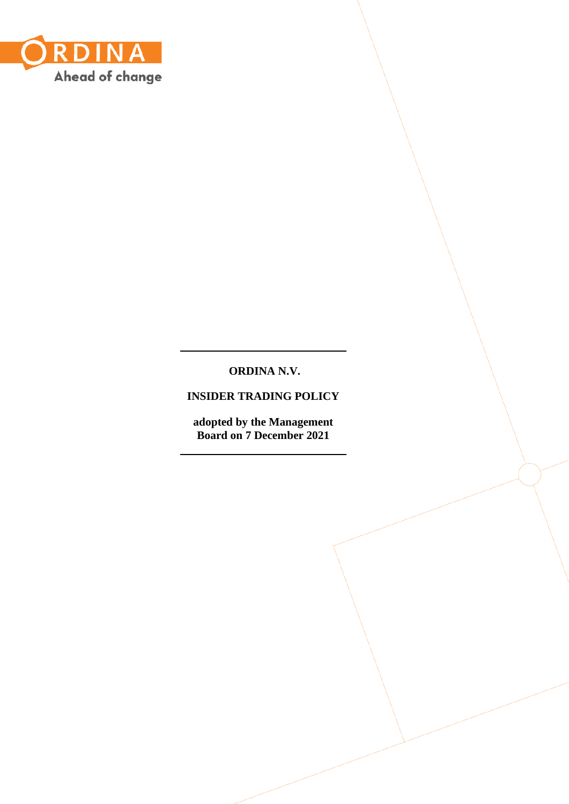

# **ORDINA N.V.**

**INSIDER TRADING POLICY**

**adopted by the Management Board on 7 December 2021**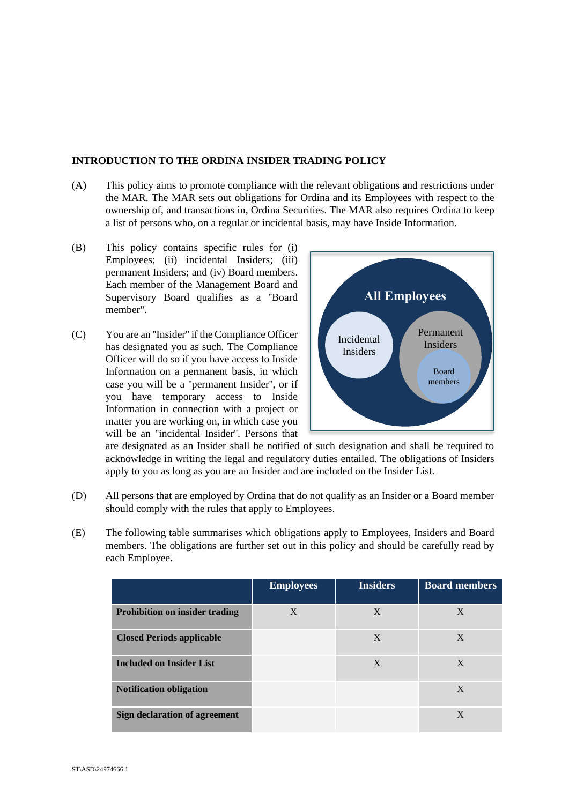### **INTRODUCTION TO THE ORDINA INSIDER TRADING POLICY**

- (A) This policy aims to promote compliance with the relevant obligations and restrictions under the MAR. The MAR sets out obligations for Ordina and its Employees with respect to the ownership of, and transactions in, Ordina Securities. The MAR also requires Ordina to keep a list of persons who, on a regular or incidental basis, may have Inside Information.
- (B) This policy contains specific rules for (i) Employees; (ii) incidental Insiders; (iii) permanent Insiders; and (iv) Board members. Each member of the Management Board and Supervisory Board qualifies as a ''Board member".
- (C) You are an ''Insider'' if the Compliance Officer has designated you as such. The Compliance Officer will do so if you have access to Inside Information on a permanent basis, in which case you will be a ''permanent Insider'', or if you have temporary access to Inside Information in connection with a project or matter you are working on, in which case you will be an ''incidental Insider''. Persons that



are designated as an Insider shall be notified of such designation and shall be required to acknowledge in writing the legal and regulatory duties entailed. The obligations of Insiders apply to you as long as you are an Insider and are included on the Insider List.

- (D) All persons that are employed by Ordina that do not qualify as an Insider or a Board member should comply with the rules that apply to Employees.
- (E) The following table summarises which obligations apply to Employees, Insiders and Board members. The obligations are further set out in this policy and should be carefully read by each Employee.

|                                       | <b>Employees</b> | <b>Insiders</b> | <b>Board members</b> |
|---------------------------------------|------------------|-----------------|----------------------|
| <b>Prohibition on insider trading</b> | X                | X               | X                    |
| <b>Closed Periods applicable</b>      |                  | X               | X                    |
| <b>Included on Insider List</b>       |                  | X               | X                    |
| <b>Notification obligation</b>        |                  |                 | X                    |
| Sign declaration of agreement         |                  |                 | X                    |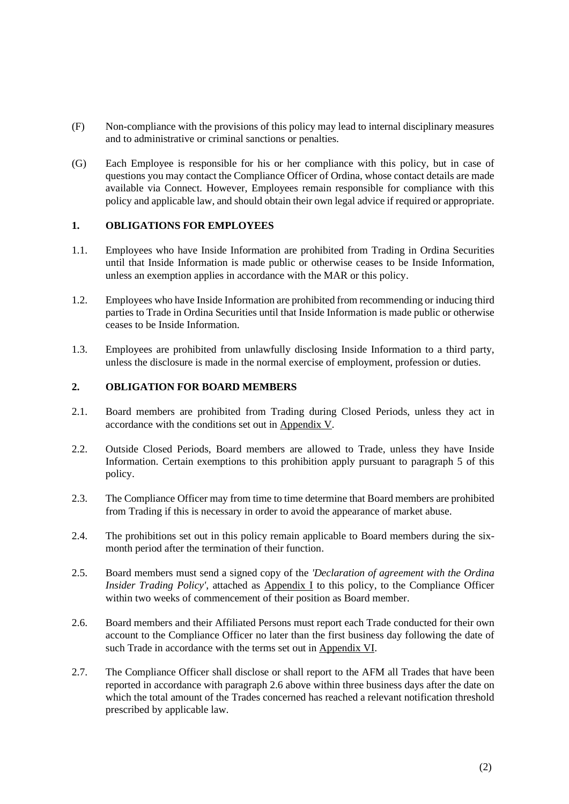- (F) Non-compliance with the provisions of this policy may lead to internal disciplinary measures and to administrative or criminal sanctions or penalties.
- (G) Each Employee is responsible for his or her compliance with this policy, but in case of questions you may contact the Compliance Officer of Ordina, whose contact details are made available via Connect. However, Employees remain responsible for compliance with this policy and applicable law, and should obtain their own legal advice if required or appropriate.

## **1. OBLIGATIONS FOR EMPLOYEES**

- 1.1. Employees who have Inside Information are prohibited from Trading in Ordina Securities until that Inside Information is made public or otherwise ceases to be Inside Information, unless an exemption applies in accordance with the MAR or this policy.
- 1.2. Employees who have Inside Information are prohibited from recommending or inducing third parties to Trade in Ordina Securities until that Inside Information is made public or otherwise ceases to be Inside Information.
- 1.3. Employees are prohibited from unlawfully disclosing Inside Information to a third party, unless the disclosure is made in the normal exercise of employment, profession or duties.

### **2. OBLIGATION FOR BOARD MEMBERS**

- 2.1. Board members are prohibited from Trading during Closed Periods, unless they act in accordance with the conditions set out in Appendix V.
- 2.2. Outside Closed Periods, Board members are allowed to Trade, unless they have Inside Information. Certain exemptions to this prohibition apply pursuant to paragraph [5](#page-3-0) of this policy.
- 2.3. The Compliance Officer may from time to time determine that Board members are prohibited from Trading if this is necessary in order to avoid the appearance of market abuse.
- 2.4. The prohibitions set out in this policy remain applicable to Board members during the sixmonth period after the termination of their function.
- 2.5. Board members must send a signed copy of the *'Declaration of agreement with the Ordina Insider Trading Policy'*, attached as **Appendix I** to this policy, to the Compliance Officer within two weeks of commencement of their position as Board member.
- <span id="page-2-0"></span>2.6. Board members and their Affiliated Persons must report each Trade conducted for their own account to the Compliance Officer no later than the first business day following the date of such Trade in accordance with the terms set out in Appendix VI.
- 2.7. The Compliance Officer shall disclose or shall report to the AFM all Trades that have been reported in accordance with paragraph [2.6](#page-2-0) above within three business days after the date on which the total amount of the Trades concerned has reached a relevant notification threshold prescribed by applicable law.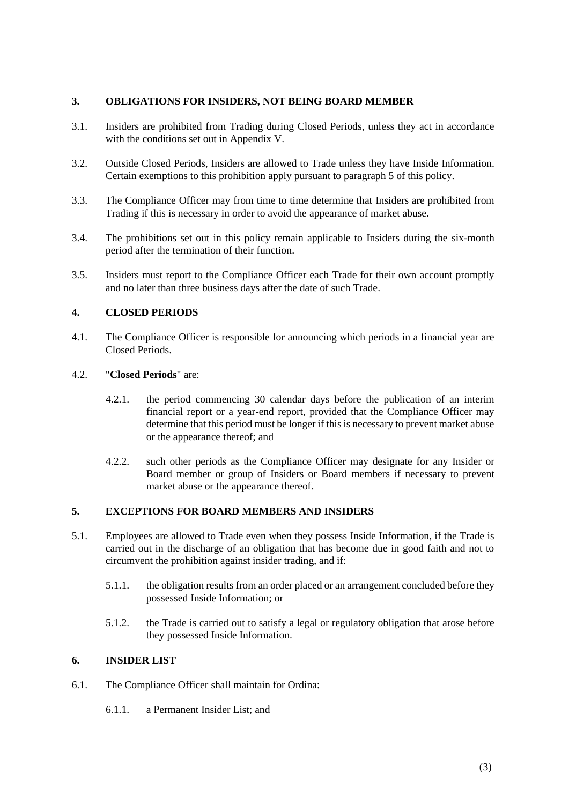### **3. OBLIGATIONS FOR INSIDERS, NOT BEING BOARD MEMBER**

- 3.1. Insiders are prohibited from Trading during Closed Periods, unless they act in accordance with the conditions set out in Appendix V.
- 3.2. Outside Closed Periods, Insiders are allowed to Trade unless they have Inside Information. Certain exemptions to this prohibition apply pursuant to paragraph 5 of this policy.
- 3.3. The Compliance Officer may from time to time determine that Insiders are prohibited from Trading if this is necessary in order to avoid the appearance of market abuse.
- 3.4. The prohibitions set out in this policy remain applicable to Insiders during the six-month period after the termination of their function.
- 3.5. Insiders must report to the Compliance Officer each Trade for their own account promptly and no later than three business days after the date of such Trade.

## **4. CLOSED PERIODS**

4.1. The Compliance Officer is responsible for announcing which periods in a financial year are Closed Periods.

### <span id="page-3-1"></span>4.2. "**Closed Periods**" are:

- 4.2.1. the period commencing 30 calendar days before the publication of an interim financial report or a year-end report, provided that the Compliance Officer may determine that this period must be longer if this is necessary to prevent market abuse or the appearance thereof; and
- 4.2.2. such other periods as the Compliance Officer may designate for any Insider or Board member or group of Insiders or Board members if necessary to prevent market abuse or the appearance thereof.

### <span id="page-3-0"></span>**5. EXCEPTIONS FOR BOARD MEMBERS AND INSIDERS**

- 5.1. Employees are allowed to Trade even when they possess Inside Information, if the Trade is carried out in the discharge of an obligation that has become due in good faith and not to circumvent the prohibition against insider trading, and if:
	- 5.1.1. the obligation results from an order placed or an arrangement concluded before they possessed Inside Information; or
	- 5.1.2. the Trade is carried out to satisfy a legal or regulatory obligation that arose before they possessed Inside Information.

## **6. INSIDER LIST**

- 6.1. The Compliance Officer shall maintain for Ordina:
	- 6.1.1. a Permanent Insider List; and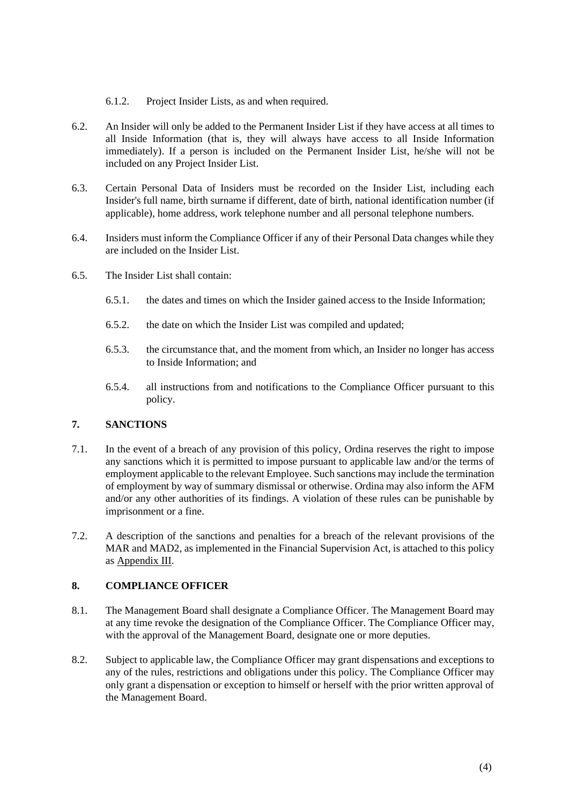- 6.1.2. Project Insider Lists, as and when required.
- 6.2. An Insider will only be added to the Permanent Insider List if they have access at all times to all Inside Information (that is, they will always have access to all Inside Information immediately). If a person is included on the Permanent Insider List, he/she will not be included on any Project Insider List.
- 6.3. Certain Personal Data of Insiders must be recorded on the Insider List, including each Insider's full name, birth surname if different, date of birth, national identification number (if applicable), home address, work telephone number and all personal telephone numbers.
- 6.4. Insiders must inform the Compliance Officer if any of their Personal Data changes while they are included on the Insider List.
- 6.5. The Insider List shall contain:
	- 6.5.1. the dates and times on which the Insider gained access to the Inside Information;
	- 6.5.2. the date on which the Insider List was compiled and updated;
	- 6.5.3. the circumstance that, and the moment from which, an Insider no longer has access to Inside Information; and
	- 6.5.4. all instructions from and notifications to the Compliance Officer pursuant to this policy.

## **7. SANCTIONS**

- 7.1. In the event of a breach of any provision of this policy, Ordina reserves the right to impose any sanctions which it is permitted to impose pursuant to applicable law and/or the terms of employment applicable to the relevant Employee. Such sanctions may include the termination of employment by way of summary dismissal or otherwise. Ordina may also inform the AFM and/or any other authorities of its findings. A violation of these rules can be punishable by imprisonment or a fine.
- 7.2. A description of the sanctions and penalties for a breach of the relevant provisions of the MAR and MAD2, as implemented in the Financial Supervision Act, is attached to this policy as Appendix III.

### **8. COMPLIANCE OFFICER**

- <span id="page-4-0"></span>8.1. The Management Board shall designate a Compliance Officer. The Management Board may at any time revoke the designation of the Compliance Officer. The Compliance Officer may, with the approval of the Management Board, designate one or more deputies.
- 8.2. Subject to applicable law, the Compliance Officer may grant dispensations and exceptions to any of the rules, restrictions and obligations under this policy. The Compliance Officer may only grant a dispensation or exception to himself or herself with the prior written approval of the Management Board.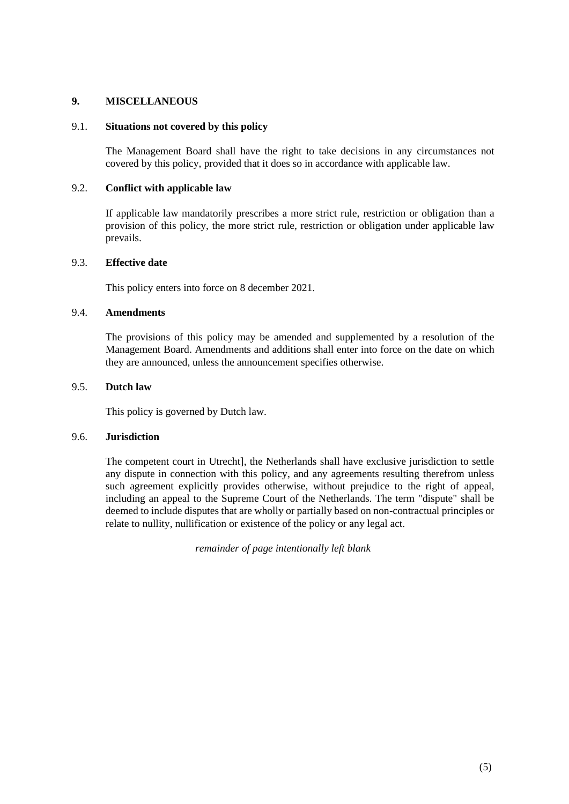### **9. MISCELLANEOUS**

#### 9.1. **Situations not covered by this policy**

The Management Board shall have the right to take decisions in any circumstances not covered by this policy, provided that it does so in accordance with applicable law.

#### 9.2. **Conflict with applicable law**

If applicable law mandatorily prescribes a more strict rule, restriction or obligation than a provision of this policy, the more strict rule, restriction or obligation under applicable law prevails.

### 9.3. **Effective date**

This policy enters into force on 8 december 2021.

### 9.4. **Amendments**

The provisions of this policy may be amended and supplemented by a resolution of the Management Board. Amendments and additions shall enter into force on the date on which they are announced, unless the announcement specifies otherwise.

### 9.5. **Dutch law**

This policy is governed by Dutch law.

### 9.6. **Jurisdiction**

The competent court in Utrecht], the Netherlands shall have exclusive jurisdiction to settle any dispute in connection with this policy, and any agreements resulting therefrom unless such agreement explicitly provides otherwise, without prejudice to the right of appeal, including an appeal to the Supreme Court of the Netherlands. The term "dispute" shall be deemed to include disputes that are wholly or partially based on non-contractual principles or relate to nullity, nullification or existence of the policy or any legal act.

*remainder of page intentionally left blank*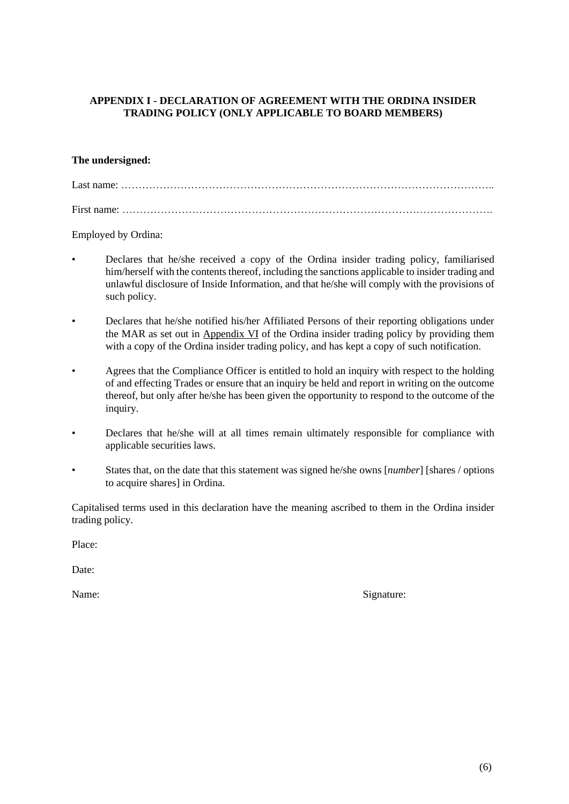## **APPENDIX I - DECLARATION OF AGREEMENT WITH THE ORDINA INSIDER TRADING POLICY (ONLY APPLICABLE TO BOARD MEMBERS)**

### **The undersigned:**

Last name: ……………………………………………………………………………………………..

First name: …………………………………………………………………………………………….

Employed by Ordina:

- Declares that he/she received a copy of the Ordina insider trading policy, familiarised him/herself with the contents thereof, including the sanctions applicable to insider trading and unlawful disclosure of Inside Information, and that he/she will comply with the provisions of such policy.
- Declares that he/she notified his/her Affiliated Persons of their reporting obligations under the MAR as set out in Appendix VI of the Ordina insider trading policy by providing them with a copy of the Ordina insider trading policy, and has kept a copy of such notification.
- Agrees that the Compliance Officer is entitled to hold an inquiry with respect to the holding of and effecting Trades or ensure that an inquiry be held and report in writing on the outcome thereof, but only after he/she has been given the opportunity to respond to the outcome of the inquiry.
- Declares that he/she will at all times remain ultimately responsible for compliance with applicable securities laws.
- States that, on the date that this statement was signed he/she owns [*number*] [shares / options to acquire shares] in Ordina.

Capitalised terms used in this declaration have the meaning ascribed to them in the Ordina insider trading policy.

Place:

Date:

Name: Signature: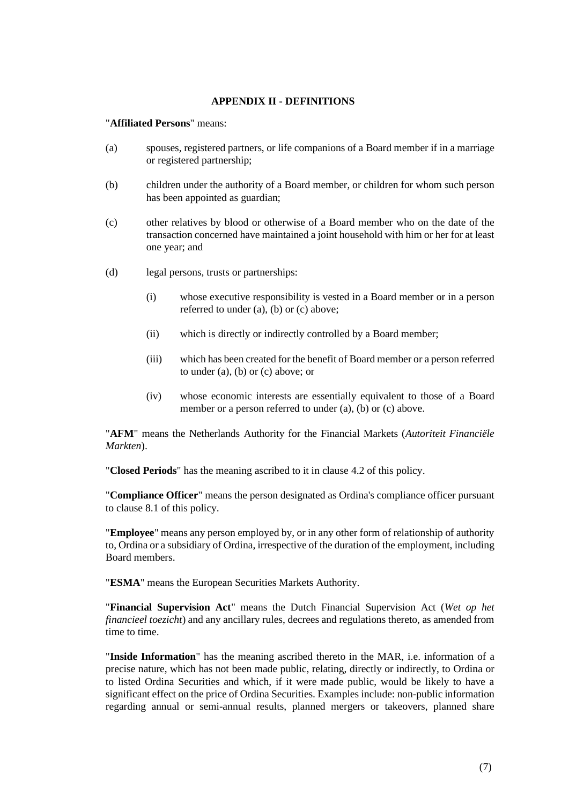### **APPENDIX II - DEFINITIONS**

"**Affiliated Persons**" means:

- (a) spouses, registered partners, or life companions of a Board member if in a marriage or registered partnership;
- (b) children under the authority of a Board member, or children for whom such person has been appointed as guardian;
- (c) other relatives by blood or otherwise of a Board member who on the date of the transaction concerned have maintained a joint household with him or her for at least one year; and
- (d) legal persons, trusts or partnerships:
	- (i) whose executive responsibility is vested in a Board member or in a person referred to under (a), (b) or (c) above;
	- (ii) which is directly or indirectly controlled by a Board member;
	- (iii) which has been created for the benefit of Board member or a person referred to under (a), (b) or (c) above; or
	- (iv) whose economic interests are essentially equivalent to those of a Board member or a person referred to under (a), (b) or (c) above.

"**AFM**" means the Netherlands Authority for the Financial Markets (*Autoriteit Financiële Markten*).

"**Closed Periods**" has the meaning ascribed to it in clause [4.2](#page-3-1) of this policy.

"**Compliance Officer**" means the person designated as Ordina's compliance officer pursuant to clause [8.1](#page-4-0) of this policy.

"**Employee**" means any person employed by, or in any other form of relationship of authority to, Ordina or a subsidiary of Ordina, irrespective of the duration of the employment, including Board members.

"**ESMA**" means the European Securities Markets Authority.

"**Financial Supervision Act**" means the Dutch Financial Supervision Act (*Wet op het financieel toezicht*) and any ancillary rules, decrees and regulations thereto, as amended from time to time.

"**Inside Information**" has the meaning ascribed thereto in the MAR, i.e. information of a precise nature, which has not been made public, relating, directly or indirectly, to Ordina or to listed Ordina Securities and which, if it were made public, would be likely to have a significant effect on the price of Ordina Securities. Examples include: non-public information regarding annual or semi-annual results, planned mergers or takeovers, planned share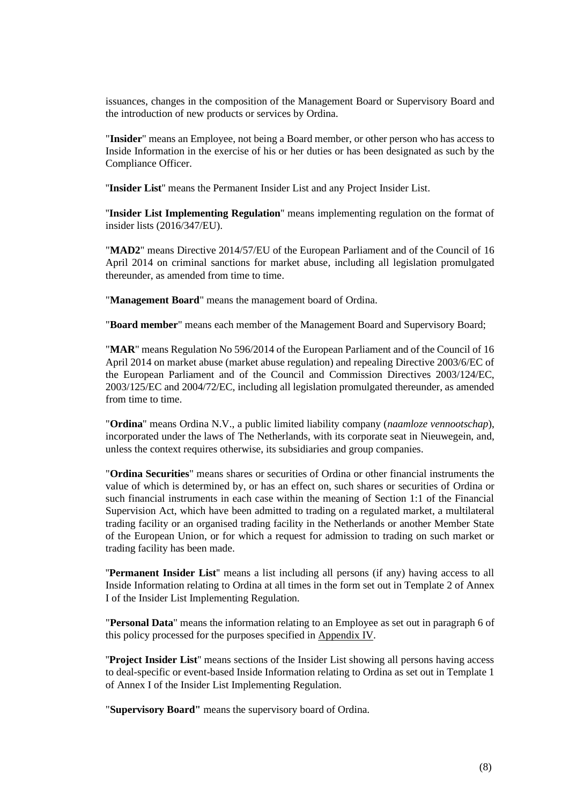issuances, changes in the composition of the Management Board or Supervisory Board and the introduction of new products or services by Ordina.

"**Insider**" means an Employee, not being a Board member, or other person who has access to Inside Information in the exercise of his or her duties or has been designated as such by the Compliance Officer.

''**Insider List**'' means the Permanent Insider List and any Project Insider List.

''**Insider List Implementing Regulation**'' means implementing regulation on the format of insider lists (2016/347/EU).

"**MAD2**" means Directive 2014/57/EU of the European Parliament and of the Council of 16 April 2014 on criminal sanctions for market abuse, including all legislation promulgated thereunder, as amended from time to time.

"**Management Board**" means the management board of Ordina.

"**Board member**" means each member of the Management Board and Supervisory Board;

"**MAR**" means Regulation No 596/2014 of the European Parliament and of the Council of 16 April 2014 on market abuse (market abuse regulation) and repealing Directive 2003/6/EC of the European Parliament and of the Council and Commission Directives 2003/124/EC, 2003/125/EC and 2004/72/EC, including all legislation promulgated thereunder, as amended from time to time.

"**Ordina**" means Ordina N.V., a public limited liability company (*naamloze vennootschap*), incorporated under the laws of The Netherlands, with its corporate seat in Nieuwegein, and, unless the context requires otherwise, its subsidiaries and group companies.

"**Ordina Securities**" means shares or securities of Ordina or other financial instruments the value of which is determined by, or has an effect on, such shares or securities of Ordina or such financial instruments in each case within the meaning of Section 1:1 of the Financial Supervision Act, which have been admitted to trading on a regulated market, a multilateral trading facility or an organised trading facility in the Netherlands or another Member State of the European Union, or for which a request for admission to trading on such market or trading facility has been made.

''**Permanent Insider List**'' means a list including all persons (if any) having access to all Inside Information relating to Ordina at all times in the form set out in Template 2 of Annex I of the Insider List Implementing Regulation.

"**Personal Data**" means the information relating to an Employee as set out in paragraph 6 of this policy processed for the purposes specified in Appendix IV.

''**Project Insider List**'' means sections of the Insider List showing all persons having access to deal-specific or event-based Inside Information relating to Ordina as set out in Template 1 of Annex I of the Insider List Implementing Regulation.

"**Supervisory Board"** means the supervisory board of Ordina.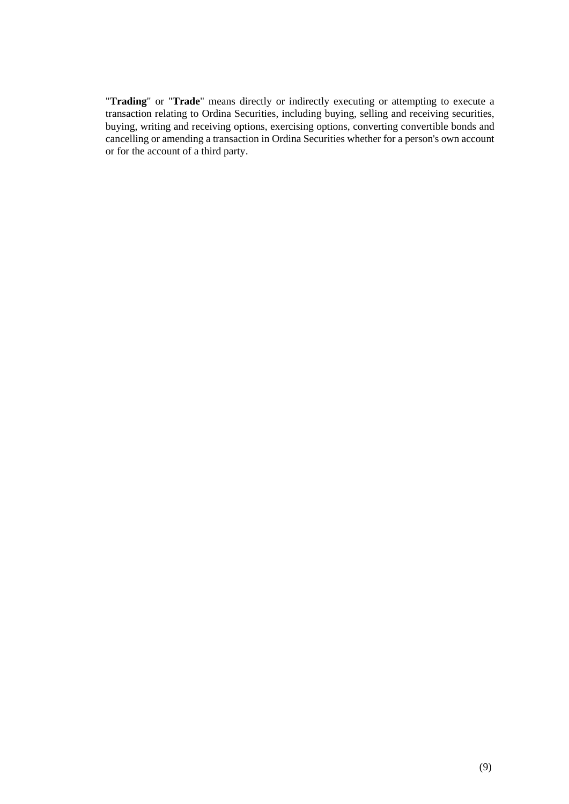"**Trading**" or "**Trade**" means directly or indirectly executing or attempting to execute a transaction relating to Ordina Securities, including buying, selling and receiving securities, buying, writing and receiving options, exercising options, converting convertible bonds and cancelling or amending a transaction in Ordina Securities whether for a person's own account or for the account of a third party.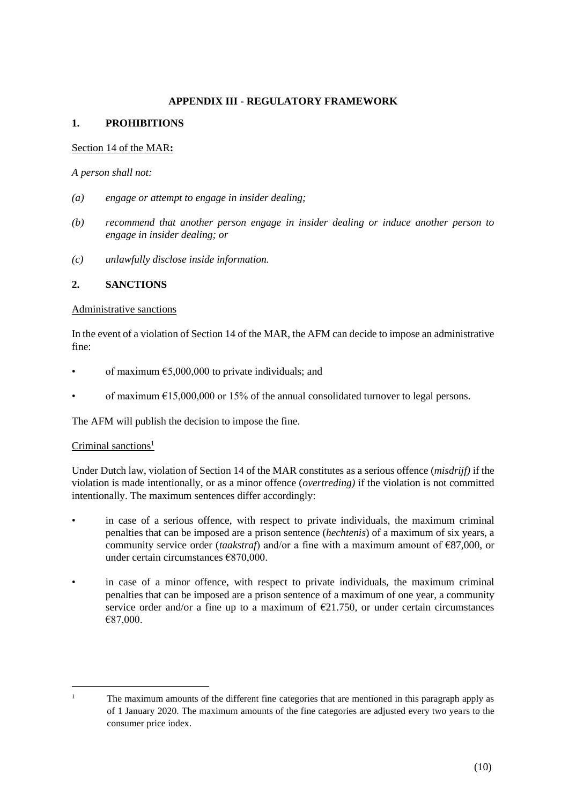### **APPENDIX III - REGULATORY FRAMEWORK**

## **1. PROHIBITIONS**

### Section 14 of the MAR**:**

*A person shall not:*

- *(a) engage or attempt to engage in insider dealing;*
- *(b) recommend that another person engage in insider dealing or induce another person to engage in insider dealing; or*
- *(c) unlawfully disclose inside information.*

### **2. SANCTIONS**

### Administrative sanctions

In the event of a violation of Section 14 of the MAR, the AFM can decide to impose an administrative fine:

- of maximum  $£5,000,000$  to private individuals; and
- of maximum  $\epsilon$ 15,000,000 or 15% of the annual consolidated turnover to legal persons.

The AFM will publish the decision to impose the fine.

### Criminal sanctions<sup>1</sup>

Under Dutch law, violation of Section 14 of the MAR constitutes as a serious offence (*misdrijf)* if the violation is made intentionally, or as a minor offence (*overtreding)* if the violation is not committed intentionally. The maximum sentences differ accordingly:

- in case of a serious offence, with respect to private individuals, the maximum criminal penalties that can be imposed are a prison sentence (*hechtenis*) of a maximum of six years, a community service order (*taakstraf*) and/or a fine with a maximum amount of €87,000, or under certain circumstances €870,000.
- in case of a minor offence, with respect to private individuals, the maximum criminal penalties that can be imposed are a prison sentence of a maximum of one year, a community service order and/or a fine up to a maximum of  $E21.750$ , or under certain circumstances €87,000.

<sup>&</sup>lt;sup>1</sup> The maximum amounts of the different fine categories that are mentioned in this paragraph apply as of 1 January 2020. The maximum amounts of the fine categories are adjusted every two years to the consumer price index.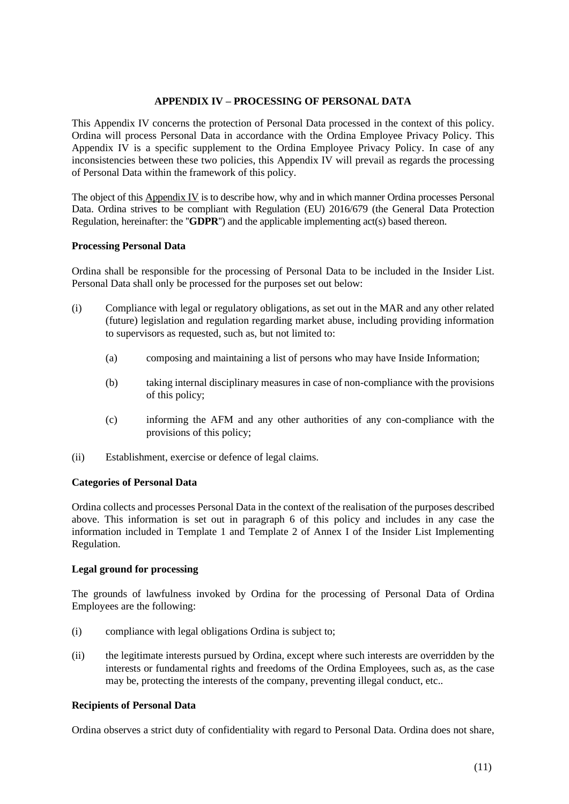#### **APPENDIX IV – PROCESSING OF PERSONAL DATA**

This Appendix IV concerns the protection of Personal Data processed in the context of this policy. Ordina will process Personal Data in accordance with the Ordina Employee Privacy Policy. This Appendix IV is a specific supplement to the Ordina Employee Privacy Policy. In case of any inconsistencies between these two policies, this Appendix IV will prevail as regards the processing of Personal Data within the framework of this policy.

The object of this Appendix IV is to describe how, why and in which manner Ordina processes Personal Data. Ordina strives to be compliant with Regulation (EU) 2016/679 (the General Data Protection Regulation, hereinafter: the ''**GDPR**'') and the applicable implementing act(s) based thereon.

#### **Processing Personal Data**

Ordina shall be responsible for the processing of Personal Data to be included in the Insider List. Personal Data shall only be processed for the purposes set out below:

- (i) Compliance with legal or regulatory obligations, as set out in the MAR and any other related (future) legislation and regulation regarding market abuse, including providing information to supervisors as requested, such as, but not limited to:
	- (a) composing and maintaining a list of persons who may have Inside Information;
	- (b) taking internal disciplinary measures in case of non-compliance with the provisions of this policy;
	- (c) informing the AFM and any other authorities of any con-compliance with the provisions of this policy;
- (ii) Establishment, exercise or defence of legal claims.

#### **Categories of Personal Data**

Ordina collects and processes Personal Data in the context of the realisation of the purposes described above. This information is set out in paragraph 6 of this policy and includes in any case the information included in Template 1 and Template 2 of Annex I of the Insider List Implementing Regulation.

#### **Legal ground for processing**

The grounds of lawfulness invoked by Ordina for the processing of Personal Data of Ordina Employees are the following:

- (i) compliance with legal obligations Ordina is subject to;
- (ii) the legitimate interests pursued by Ordina, except where such interests are overridden by the interests or fundamental rights and freedoms of the Ordina Employees, such as, as the case may be, protecting the interests of the company, preventing illegal conduct, etc..

#### **Recipients of Personal Data**

Ordina observes a strict duty of confidentiality with regard to Personal Data. Ordina does not share,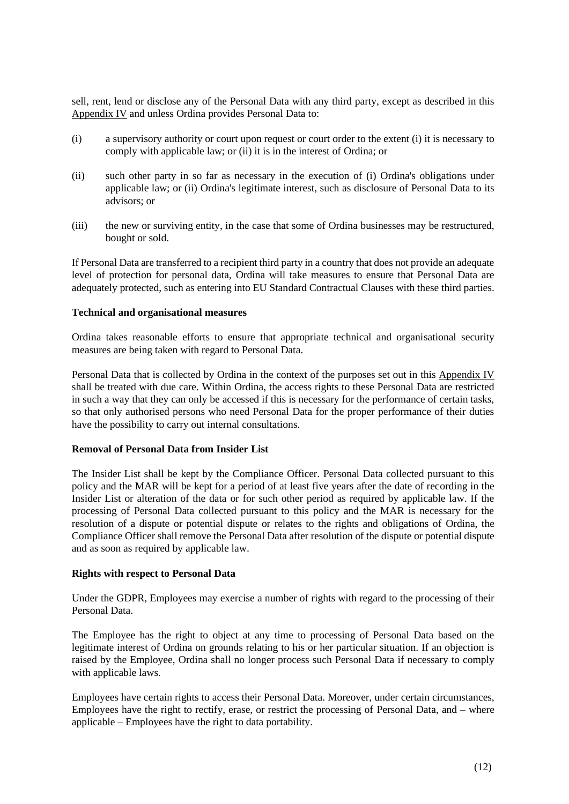sell, rent, lend or disclose any of the Personal Data with any third party, except as described in this Appendix IV and unless Ordina provides Personal Data to:

- (i) a supervisory authority or court upon request or court order to the extent (i) it is necessary to comply with applicable law; or (ii) it is in the interest of Ordina; or
- (ii) such other party in so far as necessary in the execution of (i) Ordina's obligations under applicable law; or (ii) Ordina's legitimate interest, such as disclosure of Personal Data to its advisors; or
- (iii) the new or surviving entity, in the case that some of Ordina businesses may be restructured, bought or sold.

If Personal Data are transferred to a recipient third party in a country that does not provide an adequate level of protection for personal data, Ordina will take measures to ensure that Personal Data are adequately protected, such as entering into EU Standard Contractual Clauses with these third parties.

#### **Technical and organisational measures**

Ordina takes reasonable efforts to ensure that appropriate technical and organisational security measures are being taken with regard to Personal Data.

Personal Data that is collected by Ordina in the context of the purposes set out in this Appendix IV shall be treated with due care. Within Ordina, the access rights to these Personal Data are restricted in such a way that they can only be accessed if this is necessary for the performance of certain tasks, so that only authorised persons who need Personal Data for the proper performance of their duties have the possibility to carry out internal consultations.

#### **Removal of Personal Data from Insider List**

The Insider List shall be kept by the Compliance Officer. Personal Data collected pursuant to this policy and the MAR will be kept for a period of at least five years after the date of recording in the Insider List or alteration of the data or for such other period as required by applicable law. If the processing of Personal Data collected pursuant to this policy and the MAR is necessary for the resolution of a dispute or potential dispute or relates to the rights and obligations of Ordina, the Compliance Officer shall remove the Personal Data after resolution of the dispute or potential dispute and as soon as required by applicable law.

#### **Rights with respect to Personal Data**

Under the GDPR, Employees may exercise a number of rights with regard to the processing of their Personal Data.

The Employee has the right to object at any time to processing of Personal Data based on the legitimate interest of Ordina on grounds relating to his or her particular situation. If an objection is raised by the Employee, Ordina shall no longer process such Personal Data if necessary to comply with applicable laws.

Employees have certain rights to access their Personal Data. Moreover, under certain circumstances, Employees have the right to rectify, erase, or restrict the processing of Personal Data, and – where applicable – Employees have the right to data portability.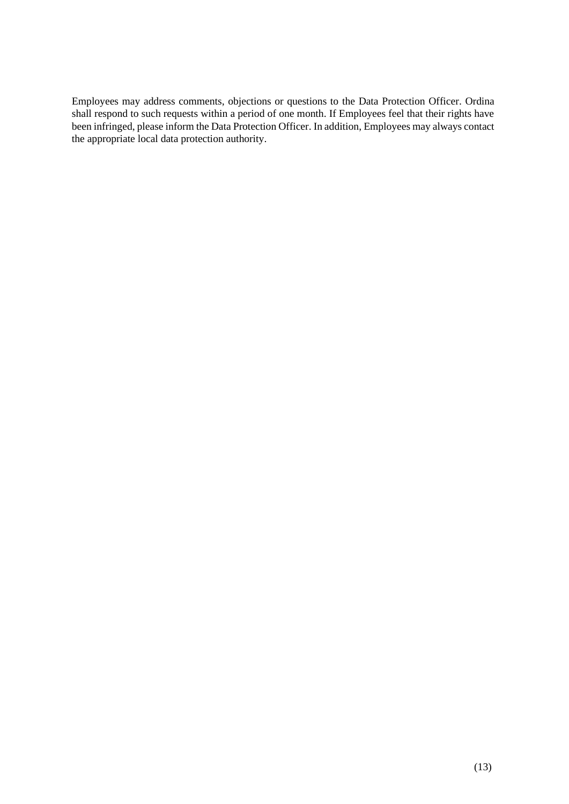Employees may address comments, objections or questions to the Data Protection Officer. Ordina shall respond to such requests within a period of one month. If Employees feel that their rights have been infringed, please inform the Data Protection Officer. In addition, Employees may always contact the appropriate local data protection authority.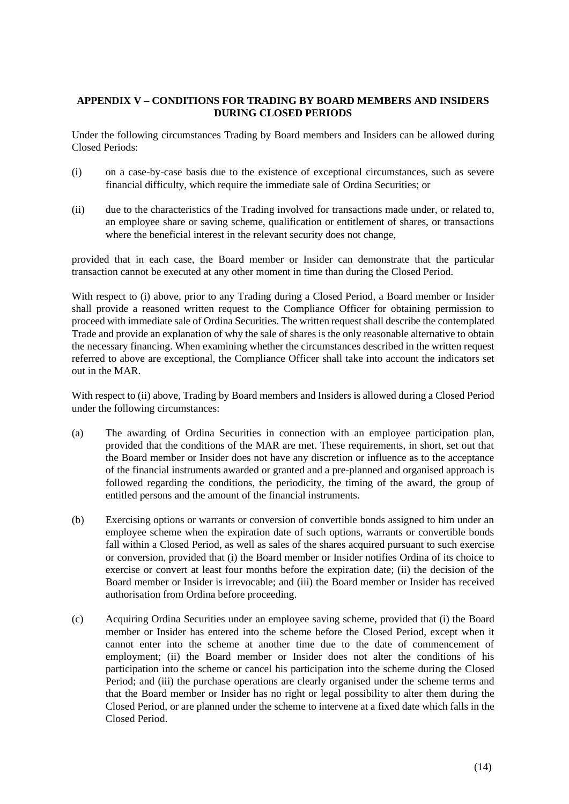### **APPENDIX V – CONDITIONS FOR TRADING BY BOARD MEMBERS AND INSIDERS DURING CLOSED PERIODS**

Under the following circumstances Trading by Board members and Insiders can be allowed during Closed Periods:

- (i) on a case-by-case basis due to the existence of exceptional circumstances, such as severe financial difficulty, which require the immediate sale of Ordina Securities; or
- (ii) due to the characteristics of the Trading involved for transactions made under, or related to, an employee share or saving scheme, qualification or entitlement of shares, or transactions where the beneficial interest in the relevant security does not change,

provided that in each case, the Board member or Insider can demonstrate that the particular transaction cannot be executed at any other moment in time than during the Closed Period.

With respect to (i) above, prior to any Trading during a Closed Period, a Board member or Insider shall provide a reasoned written request to the Compliance Officer for obtaining permission to proceed with immediate sale of Ordina Securities. The written request shall describe the contemplated Trade and provide an explanation of why the sale of shares is the only reasonable alternative to obtain the necessary financing. When examining whether the circumstances described in the written request referred to above are exceptional, the Compliance Officer shall take into account the indicators set out in the MAR.

With respect to (ii) above, Trading by Board members and Insiders is allowed during a Closed Period under the following circumstances:

- (a) The awarding of Ordina Securities in connection with an employee participation plan, provided that the conditions of the MAR are met. These requirements, in short, set out that the Board member or Insider does not have any discretion or influence as to the acceptance of the financial instruments awarded or granted and a pre-planned and organised approach is followed regarding the conditions, the periodicity, the timing of the award, the group of entitled persons and the amount of the financial instruments.
- (b) Exercising options or warrants or conversion of convertible bonds assigned to him under an employee scheme when the expiration date of such options, warrants or convertible bonds fall within a Closed Period, as well as sales of the shares acquired pursuant to such exercise or conversion, provided that (i) the Board member or Insider notifies Ordina of its choice to exercise or convert at least four months before the expiration date; (ii) the decision of the Board member or Insider is irrevocable; and (iii) the Board member or Insider has received authorisation from Ordina before proceeding.
- (c) Acquiring Ordina Securities under an employee saving scheme, provided that (i) the Board member or Insider has entered into the scheme before the Closed Period, except when it cannot enter into the scheme at another time due to the date of commencement of employment; (ii) the Board member or Insider does not alter the conditions of his participation into the scheme or cancel his participation into the scheme during the Closed Period; and (iii) the purchase operations are clearly organised under the scheme terms and that the Board member or Insider has no right or legal possibility to alter them during the Closed Period, or are planned under the scheme to intervene at a fixed date which falls in the Closed Period.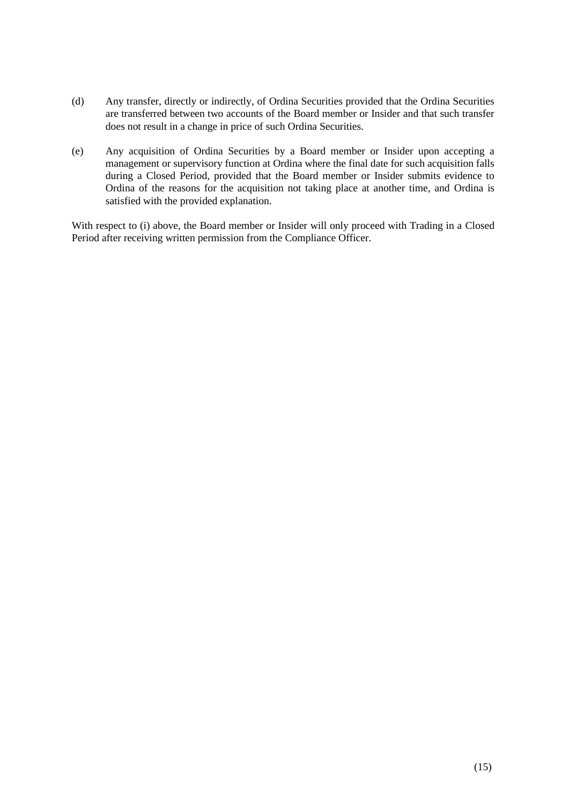- (d) Any transfer, directly or indirectly, of Ordina Securities provided that the Ordina Securities are transferred between two accounts of the Board member or Insider and that such transfer does not result in a change in price of such Ordina Securities.
- (e) Any acquisition of Ordina Securities by a Board member or Insider upon accepting a management or supervisory function at Ordina where the final date for such acquisition falls during a Closed Period, provided that the Board member or Insider submits evidence to Ordina of the reasons for the acquisition not taking place at another time, and Ordina is satisfied with the provided explanation.

With respect to (i) above, the Board member or Insider will only proceed with Trading in a Closed Period after receiving written permission from the Compliance Officer.